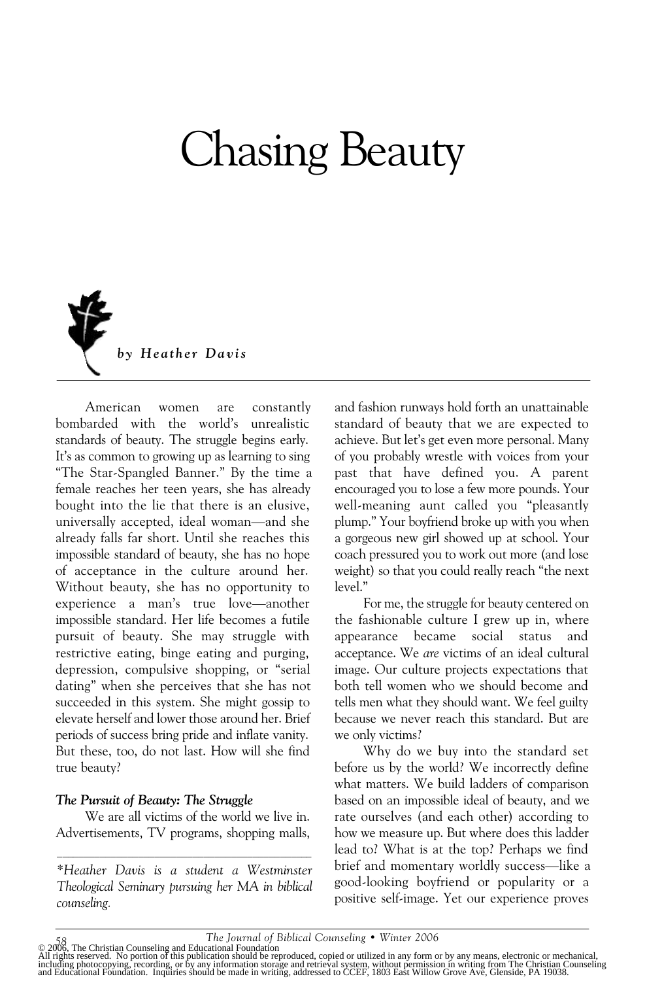## Chasing Beauty



American women are constantly bombarded with the world's unrealistic standards of beauty. The struggle begins early. It's as common to growing up as learning to sing "The Star-Spangled Banner." By the time a female reaches her teen years, she has already bought into the lie that there is an elusive, universally accepted, ideal woman—and she already falls far short. Until she reaches this impossible standard of beauty, she has no hope of acceptance in the culture around her. Without beauty, she has no opportunity to experience a man's true love—another impossible standard. Her life becomes a futile pursuit of beauty. She may struggle with restrictive eating, binge eating and purging, depression, compulsive shopping, or "serial dating" when she perceives that she has not succeeded in this system. She might gossip to elevate herself and lower those around her. Brief periods of success bring pride and inflate vanity. But these, too, do not last. How will she find true beauty?

## *The Pursuit of Beauty: The Struggle*

We are all victims of the world we live in. Advertisements, TV programs, shopping malls,  $\mathcal{L}_\text{max}$  and the contract of the contract of the contract of the contract of the contract of the contract of the contract of the contract of the contract of the contract of the contract of the contract of the contrac

*\*Heather Davis is a student a Westminster Theological Seminary pursuing her MA in biblical counseling.*

and fashion runways hold forth an unattainable standard of beauty that we are expected to achieve. But let's get even more personal. Many of you probably wrestle with voices from your past that have defined you. A parent encouraged you to lose a few more pounds. Your well-meaning aunt called you "pleasantly plump." Your boyfriend broke up with you when a gorgeous new girl showed up at school. Your coach pressured you to work out more (and lose weight) so that you could really reach "the next level."

For me, the struggle for beauty centered on the fashionable culture I grew up in, where appearance became social status and acceptance. We *are* victims of an ideal cultural image. Our culture projects expectations that both tell women who we should become and tells men what they should want. We feel guilty because we never reach this standard. But are we only victims?

Why do we buy into the standard set before us by the world? We incorrectly define what matters. We build ladders of comparison based on an impossible ideal of beauty, and we rate ourselves (and each other) according to how we measure up. But where does this ladder lead to? What is at the top? Perhaps we find brief and momentary worldly success—like a good-looking boyfriend or popularity or a positive self-image. Yet our experience proves

<sup>58</sup> The Journal of Biblical Counseling • Winter 2006<br>All rights reserved. No portion of this publicational Foundation<br>All rights reserved. No portion of this publication should be reproduced, copied or utilized in any form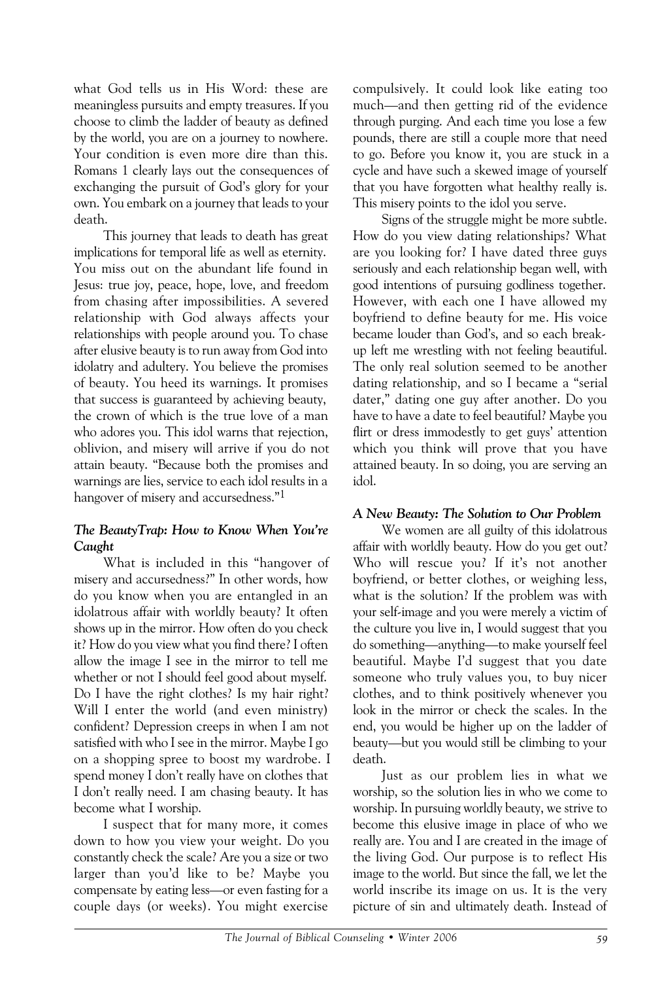what God tells us in His Word: these are meaningless pursuits and empty treasures. If you choose to climb the ladder of beauty as defined by the world, you are on a journey to nowhere. Your condition is even more dire than this. Romans 1 clearly lays out the consequences of exchanging the pursuit of God's glory for your own. You embark on a journey that leads to your death.

This journey that leads to death has great implications for temporal life as well as eternity. You miss out on the abundant life found in Jesus: true joy, peace, hope, love, and freedom from chasing after impossibilities. A severed relationship with God always affects your relationships with people around you. To chase after elusive beauty is to run away from God into idolatry and adultery. You believe the promises of beauty. You heed its warnings. It promises that success is guaranteed by achieving beauty, the crown of which is the true love of a man who adores you. This idol warns that rejection, oblivion, and misery will arrive if you do not attain beauty. "Because both the promises and warnings are lies, service to each idol results in a hangover of misery and accursedness."<sup>1</sup>

## *The BeautyTrap: How to Know When You're Caught*

What is included in this "hangover of misery and accursedness?" In other words, how do you know when you are entangled in an idolatrous affair with worldly beauty? It often shows up in the mirror. How often do you check it? How do you view what you find there? I often allow the image I see in the mirror to tell me whether or not I should feel good about myself. Do I have the right clothes? Is my hair right? Will I enter the world (and even ministry) confident? Depression creeps in when I am not satisfied with who I see in the mirror. Maybe I go on a shopping spree to boost my wardrobe. I spend money I don't really have on clothes that I don't really need. I am chasing beauty. It has become what I worship.

I suspect that for many more, it comes down to how you view your weight. Do you constantly check the scale? Are you a size or two larger than you'd like to be? Maybe you compensate by eating less—or even fasting for a couple days (or weeks). You might exercise

compulsively. It could look like eating too much—and then getting rid of the evidence through purging. And each time you lose a few pounds, there are still a couple more that need to go. Before you know it, you are stuck in a cycle and have such a skewed image of yourself that you have forgotten what healthy really is. This misery points to the idol you serve.

Signs of the struggle might be more subtle. How do you view dating relationships? What are you looking for? I have dated three guys seriously and each relationship began well, with good intentions of pursuing godliness together. However, with each one I have allowed my boyfriend to define beauty for me. His voice became louder than God's, and so each breakup left me wrestling with not feeling beautiful. The only real solution seemed to be another dating relationship, and so I became a "serial dater," dating one guy after another. Do you have to have a date to feel beautiful? Maybe you flirt or dress immodestly to get guys' attention which you think will prove that you have attained beauty. In so doing, you are serving an idol.

## *A New Beauty: The Solution to Our Problem*

We women are all guilty of this idolatrous affair with worldly beauty. How do you get out? Who will rescue you? If it's not another boyfriend, or better clothes, or weighing less, what is the solution? If the problem was with your self-image and you were merely a victim of the culture you live in, I would suggest that you do something—anything—to make yourself feel beautiful. Maybe I'd suggest that you date someone who truly values you, to buy nicer clothes, and to think positively whenever you look in the mirror or check the scales. In the end, you would be higher up on the ladder of beauty—but you would still be climbing to your death.

Just as our problem lies in what we worship, so the solution lies in who we come to worship. In pursuing worldly beauty, we strive to become this elusive image in place of who we really are. You and I are created in the image of the living God. Our purpose is to reflect His image to the world. But since the fall, we let the world inscribe its image on us. It is the very picture of sin and ultimately death. Instead of